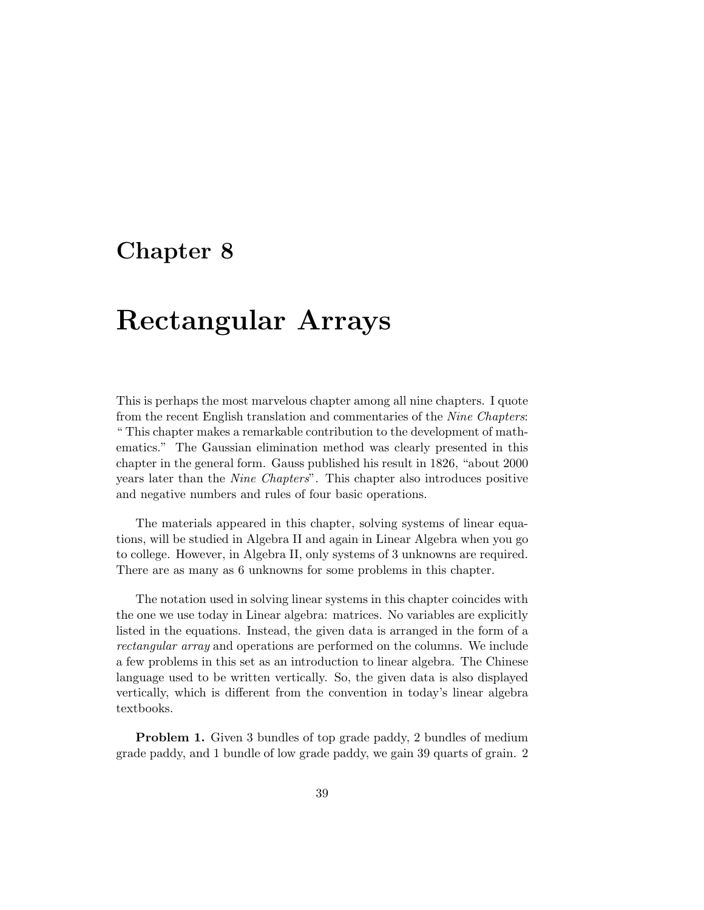## **Chapter 8**

## **Rectangular Arrays**

This is perhaps the most marvelous chapter among all nine chapters. I quote from the recent English translation and commentaries of the Nine Chapters: " This chapter makes a remarkable contribution to the development of mathematics." The Gaussian elimination method was clearly presented in this chapter in the general form. Gauss published his result in 1826, "about 2000 years later than the Nine Chapters". This chapter also introduces positive and negative numbers and rules of four basic operations.

The materials appeared in this chapter, solving systems of linear equations, will be studied in Algebra II and again in Linear Algebra when you go to college. However, in Algebra II, only systems of 3 unknowns are required. There are as many as 6 unknowns for some problems in this chapter.

The notation used in solving linear systems in this chapter coincides with the one we use today in Linear algebra: matrices. No variables are explicitly listed in the equations. Instead, the given data is arranged in the form of a rectangular array and operations are performed on the columns. We include a few problems in this set as an introduction to linear algebra. The Chinese language used to be written vertically. So, the given data is also displayed vertically, which is different from the convention in today's linear algebra textbooks.

**Problem 1.** Given 3 bundles of top grade paddy, 2 bundles of medium grade paddy, and 1 bundle of low grade paddy, we gain 39 quarts of grain. 2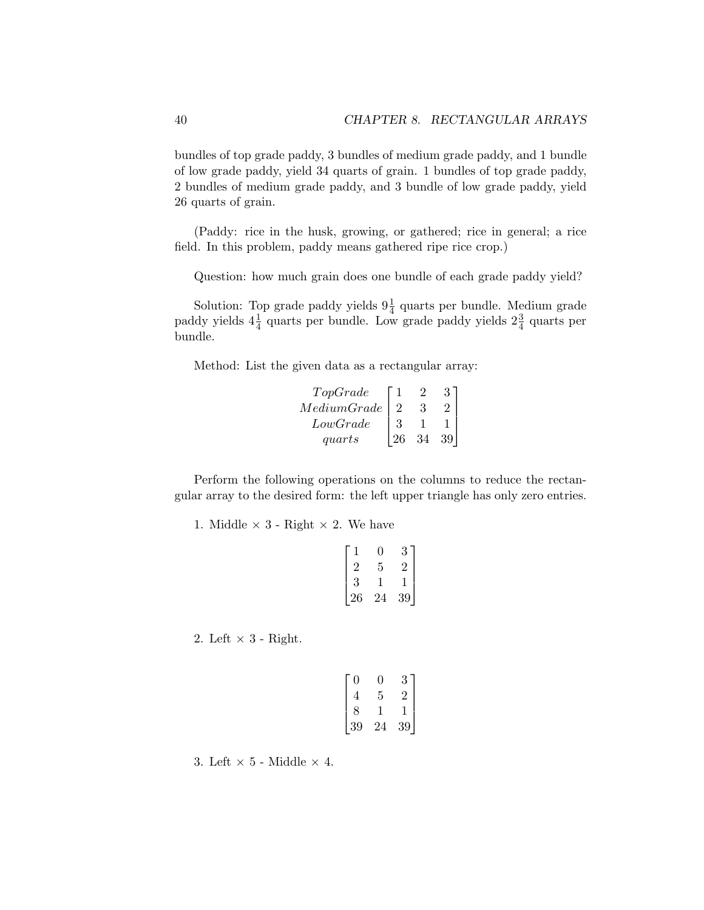bundles of top grade paddy, 3 bundles of medium grade paddy, and 1 bundle of low grade paddy, yield 34 quarts of grain. 1 bundles of top grade paddy, 2 bundles of medium grade paddy, and 3 bundle of low grade paddy, yield 26 quarts of grain.

(Paddy: rice in the husk, growing, or gathered; rice in general; a rice field. In this problem, paddy means gathered ripe rice crop.)

Question: how much grain does one bundle of each grade paddy yield?

Solution: Top grade paddy yields  $9\frac{1}{4}$  quarts per bundle. Medium grade paddy yields  $4\frac{1}{4}$  quarts per bundle. Low grade paddy yields  $2\frac{3}{4}$  quarts per bundle.

Method: List the given data as a rectangular array:

| TopGrade                     |   |    |  |
|------------------------------|---|----|--|
| $\label{thm:1} Medium Grade$ |   |    |  |
| LowGrade                     | З |    |  |
| <i>guarts</i>                |   | 34 |  |

Perform the following operations on the columns to reduce the rectangular array to the desired form: the left upper triangle has only zero entries.

1. Middle  $\times$  3 - Right  $\times$  2. We have

|           | <b>U</b> | 3  |
|-----------|----------|----|
| $\dot{z}$ | 5        |    |
| 3         |          |    |
| 26        | 24       | 39 |

2. Left  $\times$  3 - Right.

| 0  | <b>U</b> | 3  |
|----|----------|----|
| 4  | 5        | 2  |
| 8  |          |    |
| 39 | 24       | 39 |

3. Left  $\times$  5 - Middle  $\times$  4.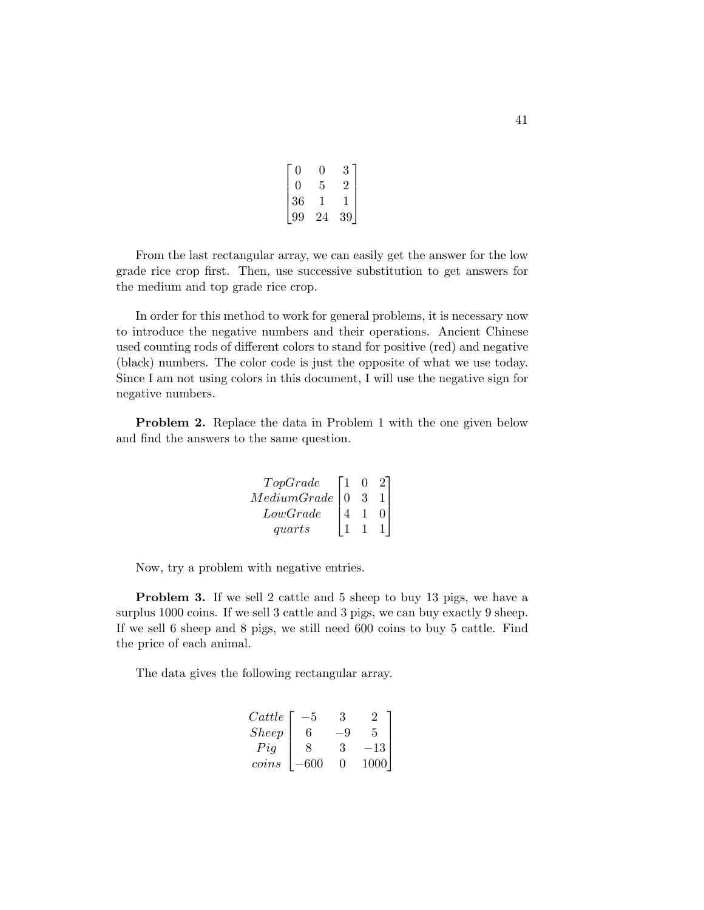| IJ |    | З  |
|----|----|----|
| 0  | 5  |    |
| 36 |    |    |
| 99 | 24 | 39 |

From the last rectangular array, we can easily get the answer for the low grade rice crop first. Then, use successive substitution to get answers for the medium and top grade rice crop.

In order for this method to work for general problems, it is necessary now to introduce the negative numbers and their operations. Ancient Chinese used counting rods of different colors to stand for positive (red) and negative (black) numbers. The color code is just the opposite of what we use today. Since I am not using colors in this document, I will use the negative sign for negative numbers.

**Problem 2.** Replace the data in Problem 1 with the one given below and find the answers to the same question.

$$
\begin{array}{c|cc}\nTopGrade & 1 & 0 & 2 \\
Median Grade & 0 & 3 & 1 \\
LowGrade & 4 & 1 & 0 \\
quarts & 1 & 1 & 1\n\end{array}
$$

Now, try a problem with negative entries.

**Problem 3.** If we sell 2 cattle and 5 sheep to buy 13 pigs, we have a surplus 1000 coins. If we sell 3 cattle and 3 pigs, we can buy exactly 9 sheep. If we sell 6 sheep and 8 pigs, we still need 600 coins to buy 5 cattle. Find the price of each animal.

The data gives the following rectangular array.

| Cattle | $-5$   | 3    | 2      |
|--------|--------|------|--------|
| Sheep  | $6$    | $-9$ | 5      |
| Pig    | $8$    | 3    | $-13$  |
| coins  | $-600$ | 0    | $1000$ |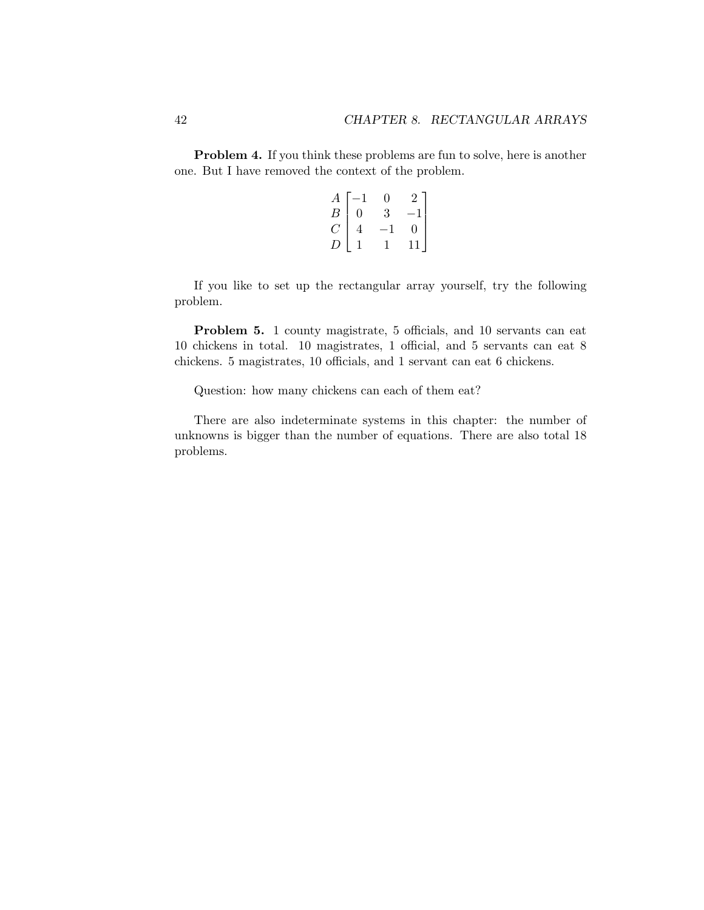**Problem 4.** If you think these problems are fun to solve, here is another one. But I have removed the context of the problem.

|                |                                                             | 0            | 2 ]            |
|----------------|-------------------------------------------------------------|--------------|----------------|
|                | $\begin{array}{c c}\nA & -1 \\ B & 0 \\ C & 4\n\end{array}$ | 3            | $-1$           |
|                | $\overline{4}$                                              | $-1$         | $\overline{0}$ |
| $\overline{D}$ | $\mathbf{1}$                                                | $\mathbf{1}$ | $11\,$         |

If you like to set up the rectangular array yourself, try the following problem.

**Problem 5.** 1 county magistrate, 5 officials, and 10 servants can eat 10 chickens in total. 10 magistrates, 1 official, and 5 servants can eat 8 chickens. 5 magistrates, 10 officials, and 1 servant can eat 6 chickens.

Question: how many chickens can each of them eat?

There are also indeterminate systems in this chapter: the number of unknowns is bigger than the number of equations. There are also total 18 problems.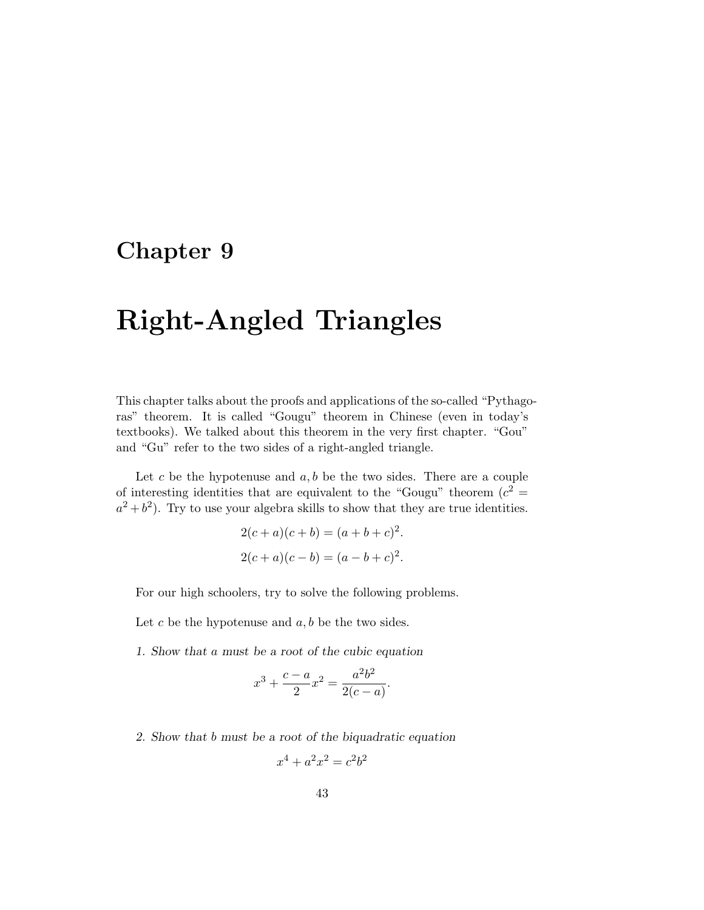## **Chapter 9**

## **Right-Angled Triangles**

This chapter talks about the proofs and applications of the so-called "Pythagoras" theorem. It is called "Gougu" theorem in Chinese (even in today's textbooks). We talked about this theorem in the very first chapter. "Gou" and "Gu" refer to the two sides of a right-angled triangle.

Let  $c$  be the hypotenuse and  $a, b$  be the two sides. There are a couple of interesting identities that are equivalent to the "Gougu" theorem  $(c^2 =$  $a^2 + b^2$ . Try to use your algebra skills to show that they are true identities.

$$
2(c+a)(c+b) = (a+b+c)^{2}.
$$
  

$$
2(c+a)(c-b) = (a-b+c)^{2}.
$$

For our high schoolers, try to solve the following problems.

Let  $c$  be the hypotenuse and  $a, b$  be the two sides.

1. Show that a must be a root of the cubic equation

$$
x^3 + \frac{c-a}{2}x^2 = \frac{a^2b^2}{2(c-a)}.
$$

2. Show that b must be a root of the biquadratic equation

$$
x^4 + a^2 x^2 = c^2 b^2
$$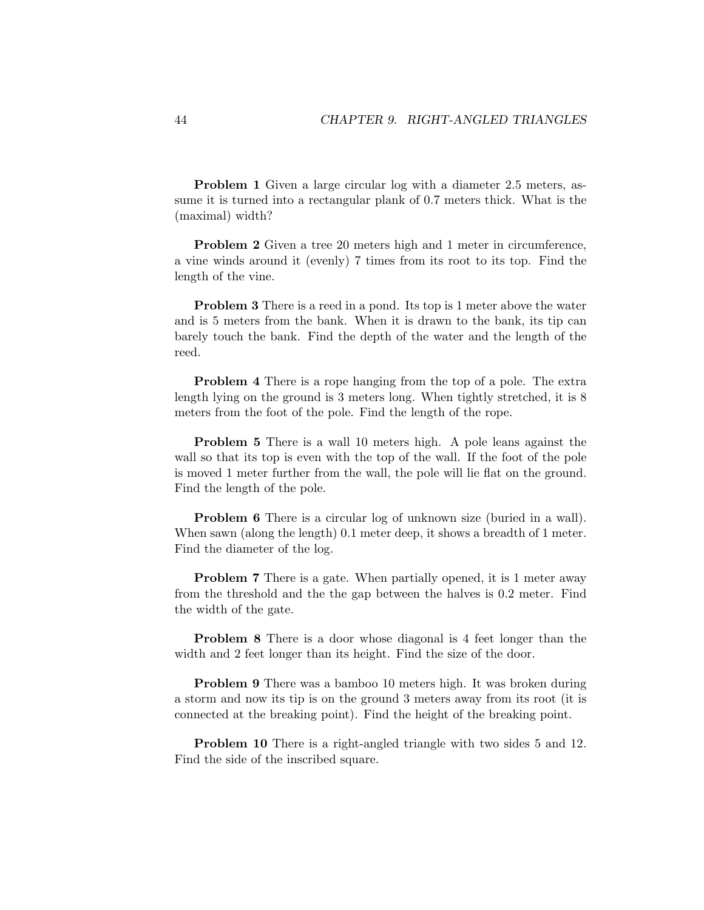**Problem 1** Given a large circular log with a diameter 2.5 meters, assume it is turned into a rectangular plank of 0.7 meters thick. What is the (maximal) width?

**Problem 2** Given a tree 20 meters high and 1 meter in circumference, a vine winds around it (evenly) 7 times from its root to its top. Find the length of the vine.

**Problem 3** There is a reed in a pond. Its top is 1 meter above the water and is 5 meters from the bank. When it is drawn to the bank, its tip can barely touch the bank. Find the depth of the water and the length of the reed.

**Problem 4** There is a rope hanging from the top of a pole. The extra length lying on the ground is 3 meters long. When tightly stretched, it is 8 meters from the foot of the pole. Find the length of the rope.

**Problem 5** There is a wall 10 meters high. A pole leans against the wall so that its top is even with the top of the wall. If the foot of the pole is moved 1 meter further from the wall, the pole will lie flat on the ground. Find the length of the pole.

**Problem 6** There is a circular log of unknown size (buried in a wall). When sawn (along the length) 0.1 meter deep, it shows a breadth of 1 meter. Find the diameter of the log.

**Problem 7** There is a gate. When partially opened, it is 1 meter away from the threshold and the the gap between the halves is 0.2 meter. Find the width of the gate.

**Problem 8** There is a door whose diagonal is 4 feet longer than the width and 2 feet longer than its height. Find the size of the door.

**Problem 9** There was a bamboo 10 meters high. It was broken during a storm and now its tip is on the ground 3 meters away from its root (it is connected at the breaking point). Find the height of the breaking point.

**Problem 10** There is a right-angled triangle with two sides 5 and 12. Find the side of the inscribed square.